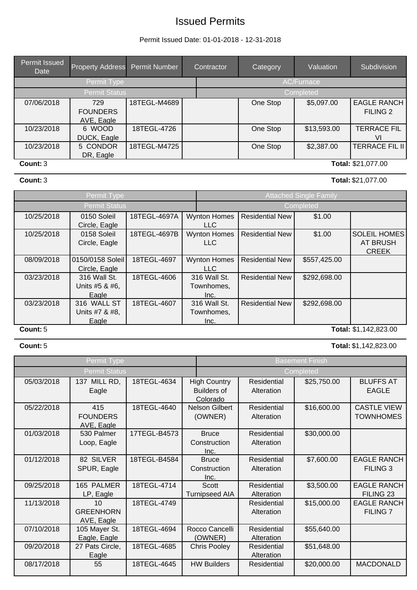# Issued Permits

### Permit Issued Date: 01-01-2018 - 12-31-2018

| Permit Issued<br>Date | <b>Property Address</b>              | Permit Number | Contractor | Category          | Valuation   | Subdivision                               |  |  |
|-----------------------|--------------------------------------|---------------|------------|-------------------|-------------|-------------------------------------------|--|--|
|                       | Permit Type                          |               |            | <b>AC/Furnace</b> |             |                                           |  |  |
|                       | <b>Permit Status</b>                 |               |            | Completed         |             |                                           |  |  |
| 07/06/2018            | 729<br><b>FOUNDERS</b><br>AVE, Eagle | 18TEGL-M4689  |            | One Stop          | \$5,097.00  | <b>EAGLE RANCH</b><br>FILING <sub>2</sub> |  |  |
| 10/23/2018            | 6 WOOD<br>DUCK, Eagle                | 18TEGL-4726   |            | One Stop          | \$13,593.00 | <b>TERRACE FIL</b><br>VI                  |  |  |
| 10/23/2018            | 5 CONDOR<br>DR, Eagle                | 18TEGL-M4725  |            | One Stop          | \$2,387.00  | <b>TERRACE FIL II</b>                     |  |  |
| Count: 3              |                                      |               |            |                   |             | Total: \$21,077.00                        |  |  |

**Count:**3 **Total:**\$21,077.00

### Permit Type **Attached Single Family Permit Type** Attached Single Family Permit Status Completed 10/25/2018 | 0150 Soleil Circle, Eagle 18TEGL-4697A | Wynton Homes | Residential New LLC \$1.00 10/25/2018 0158 Soleil Circle, Eagle 18TEGL-4697B | Wynton Homes | Residential New LLC \$1.00 SOLEIL HOMES AT BRUSH CREEK 08/09/2018 0150/0158 Soleil Circle, Eagle 18TEGL-4697 Wynton Homes Residential New LLC \$557,425.00 03/23/2018 | 316 Wall St. Units #5 & #6, **Eagle** 18TEGL-4606 | 316 Wall St. | Residential New Townhomes, Inc.<br>316 Wall St. \$292,698.00 03/23/2018 316 WALL ST Units #7 & #8, **Eagle** 18TEGL-4607 316 Wall St. Residential New Townhomes, Inc. \$292,698.00 **Count:**5 **Total:** \$1,142,823.00

### **Count:**5 **Total:**\$1,142,823.00

|            | Permit Type                          |              |                                                       | <b>Basement Finish</b>    |             |                                        |  |  |
|------------|--------------------------------------|--------------|-------------------------------------------------------|---------------------------|-------------|----------------------------------------|--|--|
|            | <b>Permit Status</b>                 |              |                                                       | Completed                 |             |                                        |  |  |
| 05/03/2018 | 137 MILL RD,<br>Eagle                | 18TEGL-4634  | <b>High Country</b><br><b>Builders of</b><br>Colorado | Residential<br>Alteration | \$25,750.00 | <b>BLUFFS AT</b><br><b>EAGLE</b>       |  |  |
| 05/22/2018 | 415<br><b>FOUNDERS</b><br>AVE, Eagle | 18TEGL-4640  | Nelson Gilbert<br>(OWNER)                             | Residential<br>Alteration | \$16,600.00 | <b>CASTLE VIEW</b><br><b>TOWNHOMES</b> |  |  |
| 01/03/2018 | 530 Palmer<br>Loop, Eagle            | 17TEGL-B4573 | <b>Bruce</b><br>Construction<br>Inc.                  | Residential<br>Alteration | \$30,000.00 |                                        |  |  |
| 01/12/2018 | 82 SILVER<br>SPUR, Eagle             | 18TEGL-B4584 | <b>Bruce</b><br>Construction<br>Inc.                  | Residential<br>Alteration | \$7,600.00  | <b>EAGLE RANCH</b><br>FILING 3         |  |  |
| 09/25/2018 | 165 PALMER<br>LP, Eagle              | 18TEGL-4714  | Scott<br><b>Turnipseed AIA</b>                        | Residential<br>Alteration | \$3,500.00  | <b>EAGLE RANCH</b><br>FILING 23        |  |  |
| 11/13/2018 | 10<br><b>GREENHORN</b><br>AVE, Eagle | 18TEGL-4749  |                                                       | Residential<br>Alteration | \$15,000.00 | <b>EAGLE RANCH</b><br><b>FILING 7</b>  |  |  |
| 07/10/2018 | 105 Mayer St.<br>Eagle, Eagle        | 18TEGL-4694  | Rocco Cancelli<br>(OWNER)                             | Residential<br>Alteration | \$55,640.00 |                                        |  |  |
| 09/20/2018 | 27 Pats Circle,<br>Eagle             | 18TEGL-4685  | <b>Chris Pooley</b>                                   | Residential<br>Alteration | \$51,648.00 |                                        |  |  |
| 08/17/2018 | 55                                   | 18TEGL-4645  | <b>HW Builders</b>                                    | Residential               | \$20,000.00 | <b>MACDONALD</b>                       |  |  |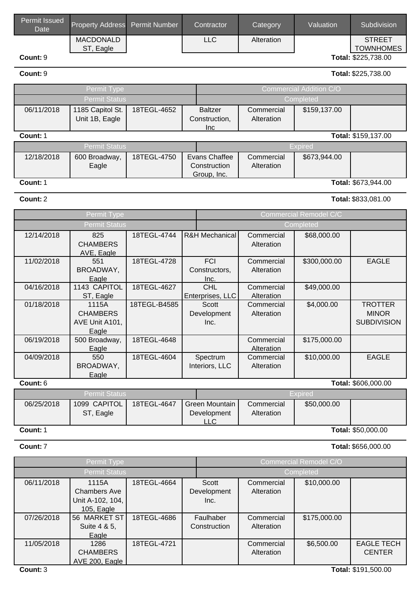| <b>Permit Issued</b><br><b>Date</b> | Property Address Permit Number | Contractor | Category   | Valuation | <b>Subdivision</b>  |
|-------------------------------------|--------------------------------|------------|------------|-----------|---------------------|
|                                     | MACDONALD                      | <b>LLC</b> | Alteration |           | <b>STREET</b>       |
|                                     | Eagle<br>-ST                   |            |            |           | <b>TOWNHOMES</b>    |
| Count: 9                            |                                |            |            |           | Total: \$225,738.00 |

**Count:**9 **Total:**\$225,738.00

| Permit Type                     |                      |             |  | <b>Commercial Addition C/O</b> |            |              |                     |
|---------------------------------|----------------------|-------------|--|--------------------------------|------------|--------------|---------------------|
| <b>Permit Status</b>            |                      |             |  |                                |            | Completed    |                     |
| 06/11/2018                      | 1185 Capitol St.     | 18TEGL-4652 |  | <b>Baltzer</b>                 | Commercial | \$159,137.00 |                     |
|                                 | Unit 1B, Eagle       |             |  | Construction,                  | Alteration |              |                     |
|                                 |                      |             |  | Inc                            |            |              |                     |
| Total: \$159,137.00<br>Count: 1 |                      |             |  |                                |            |              |                     |
|                                 | <b>Permit Status</b> |             |  | <b>Expired</b>                 |            |              |                     |
| 12/18/2018                      | 600 Broadway,        | 18TEGL-4750 |  | Evans Chaffee                  | Commercial | \$673,944.00 |                     |
|                                 | Eagle                |             |  | Construction                   | Alteration |              |                     |
|                                 |                      |             |  | Group, Inc.                    |            |              |                     |
| Count: 1                        |                      |             |  |                                |            |              | Total: \$673,944.00 |

Permit Type Commercial Remodel Commercial Remodel Commercial Remodel Commercial Re Permit Status Completed

# **Count:**2 **Total:**\$833,081.00

|            | . |  |
|------------|---|--|
| model C/C' |   |  |

| 12/14/2018 | 825                  | 18TEGL-4744  | R&H Mechanical   | Commercial | \$68,000.00    |                     |  |  |  |
|------------|----------------------|--------------|------------------|------------|----------------|---------------------|--|--|--|
|            | <b>CHAMBERS</b>      |              |                  | Alteration |                |                     |  |  |  |
|            | AVE, Eagle           |              |                  |            |                |                     |  |  |  |
| 11/02/2018 | 551                  | 18TEGL-4728  | <b>FCI</b>       | Commercial | \$300,000.00   | <b>EAGLE</b>        |  |  |  |
|            | BROADWAY,            |              | Constructors,    | Alteration |                |                     |  |  |  |
|            | Eagle                |              | Inc.             |            |                |                     |  |  |  |
| 04/16/2018 | 1143 CAPITOL         | 18TEGL-4627  | <b>CHL</b>       | Commercial | \$49,000.00    |                     |  |  |  |
|            | ST, Eagle            |              | Enterprises, LLC | Alteration |                |                     |  |  |  |
| 01/18/2018 | 1115A                | 18TEGL-B4585 | Scott            | Commercial | \$4,000.00     | <b>TROTTER</b>      |  |  |  |
|            | <b>CHAMBERS</b>      |              | Development      | Alteration |                | <b>MINOR</b>        |  |  |  |
|            | AVE Unit A101,       |              | Inc.             |            |                | <b>SUBDIVISION</b>  |  |  |  |
|            | Eagle                |              |                  |            |                |                     |  |  |  |
| 06/19/2018 | 500 Broadway,        | 18TEGL-4648  |                  | Commercial | \$175,000.00   |                     |  |  |  |
|            | Eagle                |              |                  | Alteration |                |                     |  |  |  |
| 04/09/2018 | 550                  | 18TEGL-4604  | Spectrum         | Commercial | \$10,000.00    | <b>EAGLE</b>        |  |  |  |
|            | BROADWAY,            |              | Interiors, LLC   | Alteration |                |                     |  |  |  |
|            | Eagle                |              |                  |            |                |                     |  |  |  |
| Count: 6   |                      |              |                  |            |                | Total: \$606,000.00 |  |  |  |
|            | <b>Permit Status</b> |              |                  |            | <b>Expired</b> |                     |  |  |  |
| 06/25/2018 | 1099 CAPITOL         | 18TEGL-4647  | Green Mountain   | Commercial | \$50,000.00    |                     |  |  |  |
|            | ST, Eagle            |              | Development      | Alteration |                |                     |  |  |  |
|            |                      |              | LLC              |            |                |                     |  |  |  |
| Count: 1   | Total: \$50,000.00   |              |                  |            |                |                     |  |  |  |

**Count:**7 **Total:**\$656,000.00

| Permit Type          |                                                                |             |                              | <b>Commercial Remodel C/O</b> |              |                                    |  |
|----------------------|----------------------------------------------------------------|-------------|------------------------------|-------------------------------|--------------|------------------------------------|--|
| <b>Permit Status</b> |                                                                |             |                              | Completed                     |              |                                    |  |
| 06/11/2018           | 1115A<br><b>Chambers Ave</b><br>Unit A-102, 104,<br>105, Eagle | 18TEGL-4664 | Scott<br>Development<br>Inc. | Commercial<br>Alteration      | \$10,000.00  |                                    |  |
| 07/26/2018           | 56 MARKET ST<br>Suite 4 & 5,<br>Eagle                          | 18TEGL-4686 | Faulhaber<br>Construction    | Commercial<br>Alteration      | \$175,000.00 |                                    |  |
| 11/05/2018           | 1286<br><b>CHAMBERS</b><br>AVE 200, Eagle                      | 18TEGL-4721 |                              | Commercial<br>Alteration      | \$6,500.00   | <b>EAGLE TECH</b><br><b>CENTER</b> |  |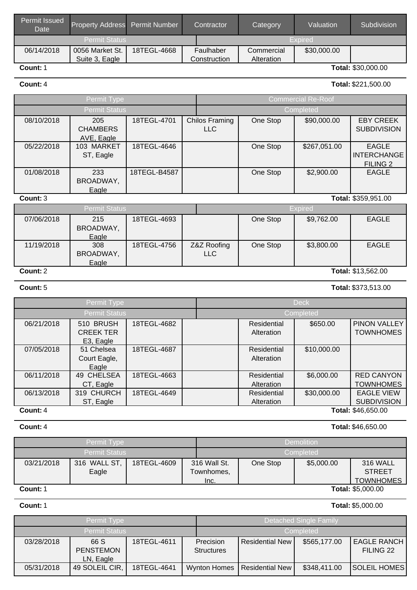| Permit Issued<br>Date | <b>Property Address</b> Permit Number |             | Contractor   | Category   | Valuation   | Subdivision        |
|-----------------------|---------------------------------------|-------------|--------------|------------|-------------|--------------------|
| <b>Permit Status</b>  |                                       |             |              |            | Expired     |                    |
| 06/14/2018            | 0056 Market St.                       | 18TEGL-4668 | Faulhaber    | Commercial | \$30,000.00 |                    |
|                       | Suite 3, Eagle                        |             | Construction | Alteration |             |                    |
| Count: 1              |                                       |             |              |            |             | Total: \$30,000.00 |

### **Count:**4 **Total:**\$221,500.00

| Permit Type          |                                      |              |           | <b>Commercial Re-Roof</b>           |          |              |                                                       |
|----------------------|--------------------------------------|--------------|-----------|-------------------------------------|----------|--------------|-------------------------------------------------------|
| <b>Permit Status</b> |                                      |              | Completed |                                     |          |              |                                                       |
| 08/10/2018           | 205<br><b>CHAMBERS</b><br>AVE, Eagle | 18TEGL-4701  |           | <b>Chilos Framing</b><br><b>LLC</b> | One Stop | \$90,000.00  | <b>EBY CREEK</b><br><b>SUBDIVISION</b>                |
| 05/22/2018           | 103 MARKET<br>ST, Eagle              | 18TEGL-4646  |           |                                     | One Stop | \$267,051.00 | <b>EAGLE</b><br><b>INTERCHANGE</b><br><b>FILING 2</b> |
| 01/08/2018           | 233<br>BROADWAY,<br>Eagle            | 18TEGL-B4587 |           |                                     | One Stop | \$2,900.00   | <b>EAGLE</b>                                          |

### **Count:**3 **Total:** \$359,951.00

| Permit Status                  |           |             |             | <b>Expired</b> |            |              |  |
|--------------------------------|-----------|-------------|-------------|----------------|------------|--------------|--|
| 07/06/2018                     | 215       | 18TEGL-4693 |             | One Stop       | \$9,762.00 | <b>EAGLE</b> |  |
|                                | BROADWAY, |             |             |                |            |              |  |
|                                | Eagle     |             |             |                |            |              |  |
| 11/19/2018                     | 308       | 18TEGL-4756 | Z&Z Roofing | One Stop       | \$3,800.00 | <b>EAGLE</b> |  |
|                                | BROADWAY, |             | LLC         |                |            |              |  |
|                                | Eagle     |             |             |                |            |              |  |
| Total: \$13,562.00<br>Count: 2 |           |             |             |                |            |              |  |

Permit Type Deck Deck Permit Status Completed 06/21/2018 | 510 BRUSH CREEK TER E3, Eagle 18TEGL-4682 | Residential Alteration \$650.00 PINON VALLEY **TOWNHOMES** 07/05/2018 | 51 Chelsea Court Eagle, **Eagle** 18TEGL-4687 | Residential Alteration \$10,000.00 06/11/2018 49 CHELSEA CT, Eagle 18TEGL-4663 Residential Alteration \$6,000.00 RED CANYON **TOWNHOMES** 06/13/2018 | 319 CHURCH ST, Eagle 18TEGL-4649 | Residential **Alteration** \$30,000.00 EAGLE VIEW **SUBDIVISION Count:**4 **Total:** \$46,650.00

| <b>Permit Type</b>   |                       |             |                                    | <b>Demolition</b> |          |            |                                                      |  |
|----------------------|-----------------------|-------------|------------------------------------|-------------------|----------|------------|------------------------------------------------------|--|
| <b>Permit Status</b> |                       |             |                                    | Completed         |          |            |                                                      |  |
| 03/21/2018           | 316 WALL ST,<br>Eagle | 18TEGL-4609 | 316 Wall St.<br>Townhomes,<br>Inc. |                   | One Stop | \$5,000.00 | <b>316 WALL</b><br><b>STREET</b><br><b>TOWNHOMES</b> |  |
| Count: 1             |                       |             |                                    |                   |          |            | <b>Total: \$5,000.00</b>                             |  |

**Count:**1 **Total:**\$5,000.00

|            | Permit Type                           |             |                                | <b>Detached Single Family</b> |              |                                 |  |
|------------|---------------------------------------|-------------|--------------------------------|-------------------------------|--------------|---------------------------------|--|
|            | Permit Status                         |             |                                | Completed                     |              |                                 |  |
| 03/28/2018 | 66 S<br><b>PENSTEMON</b><br>LN, Eagle | 18TEGL-4611 | Precision<br><b>Structures</b> | <b>Residential New</b>        | \$565,177.00 | <b>EAGLE RANCH</b><br>FILING 22 |  |
| 05/31/2018 | 49 SOLEIL CIR,                        | 18TEGL-4641 | <b>Wynton Homes</b>            | Residential New               | \$348,411.00 | <b>SOLEIL HOMES</b>             |  |

### **Count:**5 **Total:**\$373,513.00

## **Count:**4 **Total:**\$46,650.00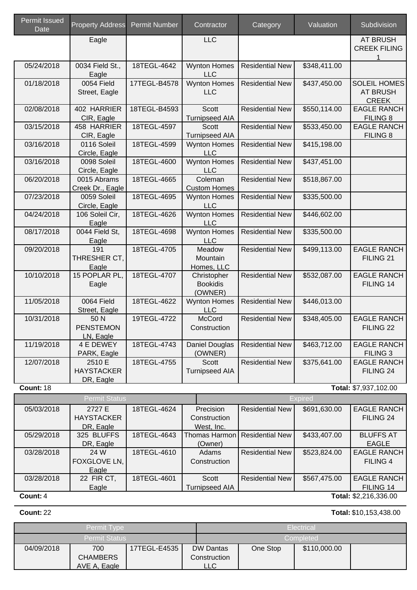| <b>Permit Issued</b><br>Date | <b>Property Address</b>                  | <b>Permit Number</b> | Contractor                                | Category               | Valuation      | Subdivision                                            |
|------------------------------|------------------------------------------|----------------------|-------------------------------------------|------------------------|----------------|--------------------------------------------------------|
|                              | Eagle                                    |                      | <b>LLC</b>                                |                        |                | <b>AT BRUSH</b><br><b>CREEK FILING</b>                 |
| 05/24/2018                   | 0034 Field St.,<br>Eagle                 | 18TEGL-4642          | <b>Wynton Homes</b><br><b>LLC</b>         | <b>Residential New</b> | \$348,411.00   |                                                        |
| 01/18/2018                   | 0054 Field<br>Street, Eagle              | 17TEGL-B4578         | <b>Wynton Homes</b><br><b>LLC</b>         | <b>Residential New</b> | \$437,450.00   | <b>SOLEIL HOMES</b><br><b>AT BRUSH</b><br><b>CREEK</b> |
| 02/08/2018                   | 402 HARRIER<br>CIR, Eagle                | 18TEGL-B4593         | <b>Scott</b><br><b>Turnipseed AIA</b>     | <b>Residential New</b> | \$550,114.00   | <b>EAGLE RANCH</b><br>FILING 8                         |
| 03/15/2018                   | 458 HARRIER<br>CIR, Eagle                | 18TEGL-4597          | Scott<br><b>Turnipseed AIA</b>            | <b>Residential New</b> | \$533,450.00   | <b>EAGLE RANCH</b><br>FILING 8                         |
| 03/16/2018                   | 0116 Soleil<br>Circle, Eagle             | 18TEGL-4599          | <b>Wynton Homes</b><br><b>LLC</b>         | <b>Residential New</b> | \$415,198.00   |                                                        |
| 03/16/2018                   | 0098 Soleil<br>Circle, Eagle             | 18TEGL-4600          | <b>Wynton Homes</b><br><b>LLC</b>         | <b>Residential New</b> | \$437,451.00   |                                                        |
| 06/20/2018                   | 0015 Abrams<br>Creek Dr., Eagle          | 18TEGL-4665          | Coleman<br><b>Custom Homes</b>            | <b>Residential New</b> | \$518,867.00   |                                                        |
| 07/23/2018                   | 0059 Soleil<br>Circle, Eagle             | 18TEGL-4695          | <b>Wynton Homes</b><br><b>LLC</b>         | <b>Residential New</b> | \$335,500.00   |                                                        |
| 04/24/2018                   | 106 Soleil Cir,<br>Eagle                 | 18TEGL-4626          | <b>Wynton Homes</b><br><b>LLC</b>         | <b>Residential New</b> | \$446,602.00   |                                                        |
| 08/17/2018                   | 0044 Field St,<br>Eagle                  | 18TEGL-4698          | <b>Wynton Homes</b><br><b>LLC</b>         | <b>Residential New</b> | \$335,500.00   |                                                        |
| 09/20/2018                   | 191<br>THRESHER CT,<br>Eagle             | 18TEGL-4705          | Meadow<br>Mountain<br>Homes, LLC          | <b>Residential New</b> | \$499,113.00   | <b>EAGLE RANCH</b><br>FILING 21                        |
| 10/10/2018                   | 15 POPLAR PL,<br>Eagle                   | 18TEGL-4707          | Christopher<br><b>Bookidis</b><br>(OWNER) | <b>Residential New</b> | \$532,087.00   | <b>EAGLE RANCH</b><br>FILING 14                        |
| 11/05/2018                   | 0064 Field<br>Street, Eagle              | 18TEGL-4622          | <b>Wynton Homes</b><br><b>LLC</b>         | <b>Residential New</b> | \$446,013.00   |                                                        |
| 10/31/2018                   | 50N<br><b>PENSTEMON</b><br>LN, Eagle     | 19TEGL-4722          | McCord<br>Construction                    | <b>Residential New</b> | \$348,405.00   | <b>EAGLE RANCH</b><br>FILING 22                        |
| 11/19/2018                   | 4 E DEWEY<br>PARK, Eagle                 | 18TEGL-4743          | Daniel Douglas<br>(OWNER)                 | <b>Residential New</b> | \$463,712.00   | <b>EAGLE RANCH</b><br>FILING <sub>3</sub>              |
| 12/07/2018                   | 2510 E<br><b>HAYSTACKER</b><br>DR, Eagle | 18TEGL-4755          | Scott<br><b>Turnipseed AIA</b>            | <b>Residential New</b> | \$375,641.00   | <b>EAGLE RANCH</b><br>FILING 24                        |
| <b>Count: 18</b>             |                                          |                      |                                           |                        |                | Total: \$7,937,102.00                                  |
| 05/03/2018                   | <b>Permit Status</b><br>2727 E           | 18TEGL-4624          | Precision                                 | <b>Residential New</b> | <b>Expired</b> | <b>EAGLE RANCH</b>                                     |
|                              | <b>HAYSTACKER</b><br>DR, Eagle           |                      | Construction<br>West, Inc.                |                        | \$691,630.00   | FILING 24                                              |
| 05/29/2018                   | 325 BLUFFS<br>DR, Eagle                  | 18TEGL-4643          | Thomas Harmon<br>(Owner)                  | <b>Residential New</b> | \$433,407.00   | <b>BLUFFS AT</b><br><b>EAGLE</b>                       |
| 03/28/2018                   | 24 W<br>FOXGLOVE LN,<br>Eagle            | 18TEGL-4610          | Adams<br>Construction                     | <b>Residential New</b> | \$523,824.00   | <b>EAGLE RANCH</b><br>FILING 4                         |
| 03/28/2018                   | 22 FIR CT,<br>Eagle                      | 18TEGL-4601          | Scott<br><b>Turnipseed AIA</b>            | <b>Residential New</b> | \$567,475.00   | <b>EAGLE RANCH</b><br>FILING 14                        |
| Count: 4                     |                                          |                      |                                           |                        |                | Total: \$2,216,336.00                                  |

**Count:**22 **Total:**\$10,153,438.00

| <b>Permit Type</b>   |                 |              |  | Electrical       |          |           |              |  |
|----------------------|-----------------|--------------|--|------------------|----------|-----------|--------------|--|
| <b>Permit Status</b> |                 |              |  |                  |          | Completed |              |  |
| 04/09/2018           | 700             | 17TEGL-E4535 |  | <b>DW Dantas</b> | One Stop |           | \$110,000.00 |  |
|                      | <b>CHAMBERS</b> |              |  | Construction     |          |           |              |  |
| AVE A, Eagle         |                 |              |  | <b>LLC</b>       |          |           |              |  |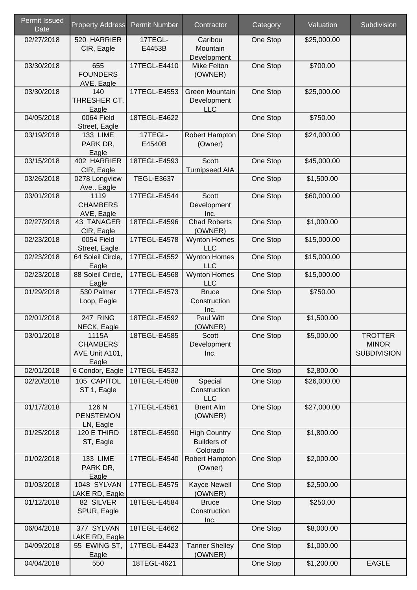| <b>Permit Issued</b><br><b>Date</b> | <b>Property Address</b>                             | <b>Permit Number</b> | Contractor                                            | Category | Valuation   | Subdivision                                          |
|-------------------------------------|-----------------------------------------------------|----------------------|-------------------------------------------------------|----------|-------------|------------------------------------------------------|
| 02/27/2018                          | 520 HARRIER<br>CIR, Eagle                           | 17TEGL-<br>E4453B    | Caribou<br>Mountain<br>Development                    | One Stop | \$25,000.00 |                                                      |
| 03/30/2018                          | 655<br><b>FOUNDERS</b><br>AVE, Eagle                | 17TEGL-E4410         | Mike Felton<br>(OWNER)                                | One Stop | \$700.00    |                                                      |
| 03/30/2018                          | 140<br>THRESHER CT,<br>Eagle                        | 17TEGL-E4553         | Green Mountain<br>Development<br><b>LLC</b>           | One Stop | \$25,000.00 |                                                      |
| 04/05/2018                          | 0064 Field<br>Street, Eagle                         | 18TEGL-E4622         |                                                       | One Stop | \$750.00    |                                                      |
| 03/19/2018                          | <b>133 LIME</b><br>PARK DR,<br>Eagle                | 17TEGL-<br>E4540B    | Robert Hampton<br>(Owner)                             | One Stop | \$24,000.00 |                                                      |
| 03/15/2018                          | 402 HARRIER<br>CIR, Eagle                           | 18TEGL-E4593         | Scott<br><b>Turnipseed AIA</b>                        | One Stop | \$45,000.00 |                                                      |
| 03/26/2018                          | 0278 Longview<br>Ave., Eagle                        | <b>TEGL-E3637</b>    |                                                       | One Stop | \$1,500.00  |                                                      |
| 03/01/2018                          | 1119<br><b>CHAMBERS</b><br>AVE, Eagle               | 17TEGL-E4544         | Scott<br>Development<br>Inc.                          | One Stop | \$60,000.00 |                                                      |
| 02/27/2018                          | 43 TANAGER<br>CIR, Eagle                            | 18TEGL-E4596         | <b>Chad Roberts</b><br>(OWNER)                        | One Stop | \$1,000.00  |                                                      |
| 02/23/2018                          | 0054 Field<br>Street, Eagle                         | 17TEGL-E4578         | <b>Wynton Homes</b><br><b>LLC</b>                     | One Stop | \$15,000.00 |                                                      |
| 02/23/2018                          | 64 Soleil Circle,<br>Eagle                          | 17TEGL-E4552         | <b>Wynton Homes</b><br><b>LLC</b>                     | One Stop | \$15,000.00 |                                                      |
| 02/23/2018                          | 88 Soleil Circle,<br>Eagle                          | 17TEGL-E4568         | <b>Wynton Homes</b><br><b>LLC</b>                     | One Stop | \$15,000.00 |                                                      |
| 01/29/2018                          | 530 Palmer<br>Loop, Eagle                           | 17TEGL-E4573         | <b>Bruce</b><br>Construction<br>Inc.                  | One Stop | \$750.00    |                                                      |
| 02/01/2018                          | 247 RING<br>NECK, Eagle                             | 18TEGL-E4592         | Paul Witt<br>(OWNER)                                  | One Stop | \$1,500.00  |                                                      |
| 03/01/2018                          | 1115A<br><b>CHAMBERS</b><br>AVE Unit A101,<br>Eagle | 18TEGL-E4585         | Scott<br>Development<br>Inc.                          | One Stop | \$5,000.00  | <b>TROTTER</b><br><b>MINOR</b><br><b>SUBDIVISION</b> |
| 02/01/2018                          | 6 Condor, Eagle                                     | 17TEGL-E4532         |                                                       | One Stop | \$2,800.00  |                                                      |
| 02/20/2018                          | 105 CAPITOL<br>ST 1, Eagle                          | 18TEGL-E4588         | Special<br>Construction<br><b>LLC</b>                 | One Stop | \$26,000.00 |                                                      |
| 01/17/2018                          | 126 N<br><b>PENSTEMON</b><br>LN, Eagle              | 17TEGL-E4561         | <b>Brent Alm</b><br>(OWNER)                           | One Stop | \$27,000.00 |                                                      |
| 01/25/2018                          | 120 E THIRD<br>ST, Eagle                            | 18TEGL-E4590         | <b>High Country</b><br><b>Builders of</b><br>Colorado | One Stop | \$1,800.00  |                                                      |
| 01/02/2018                          | <b>133 LIME</b><br>PARK DR,<br>Eagle                | 17TEGL-E4540         | Robert Hampton<br>(Owner)                             | One Stop | \$2,000.00  |                                                      |
| 01/03/2018                          | 1048 SYLVAN<br>LAKE RD, Eagle                       | 17TEGL-E4575         | <b>Kayce Newell</b><br>(OWNER)                        | One Stop | \$2,500.00  |                                                      |
| 01/12/2018                          | 82 SILVER<br>SPUR, Eagle                            | 18TEGL-E4584         | <b>Bruce</b><br>Construction<br>Inc.                  | One Stop | \$250.00    |                                                      |
| 06/04/2018                          | 377 SYLVAN<br>LAKE RD, Eagle                        | 18TEGL-E4662         |                                                       | One Stop | \$8,000.00  |                                                      |
| 04/09/2018                          | 55 EWING ST,<br>Eagle                               | 17TEGL-E4423         | <b>Tanner Shelley</b><br>(OWNER)                      | One Stop | \$1,000.00  |                                                      |
| 04/04/2018                          | 550                                                 | 18TEGL-4621          |                                                       | One Stop | \$1,200.00  | <b>EAGLE</b>                                         |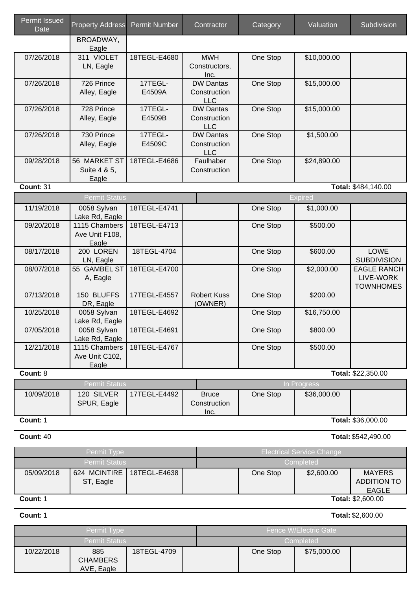| <b>Permit Issued</b><br>Date | <b>Property Address</b>                  | <b>Permit Number</b> | Contractor                                     | Category | Valuation                        | Subdivision                                         |
|------------------------------|------------------------------------------|----------------------|------------------------------------------------|----------|----------------------------------|-----------------------------------------------------|
|                              | BROADWAY,<br>Eagle                       |                      |                                                |          |                                  |                                                     |
| 07/26/2018                   | 311 VIOLET<br>LN, Eagle                  | 18TEGL-E4680         | <b>MWH</b><br>Constructors,<br>Inc.            | One Stop | \$10,000.00                      |                                                     |
| 07/26/2018                   | 726 Prince<br>Alley, Eagle               | 17TEGL-<br>E4509A    | <b>DW Dantas</b><br>Construction<br><b>LLC</b> | One Stop | \$15,000.00                      |                                                     |
| 07/26/2018                   | 728 Prince<br>Alley, Eagle               | 17TEGL-<br>E4509B    | <b>DW Dantas</b><br>Construction<br><b>LLC</b> | One Stop | \$15,000.00                      |                                                     |
| 07/26/2018                   | 730 Prince<br>Alley, Eagle               | 17TEGL-<br>E4509C    | <b>DW Dantas</b><br>Construction<br><b>LLC</b> | One Stop | \$1,500.00                       |                                                     |
| 09/28/2018                   | 56 MARKET ST<br>Suite 4 & 5,<br>Eagle    | 18TEGL-E4686         | Faulhaber<br>Construction                      | One Stop | \$24,890.00                      |                                                     |
| Count: 31                    |                                          |                      |                                                |          |                                  | Total: \$484,140.00                                 |
|                              | <b>Permit Status</b>                     |                      |                                                |          | <b>Expired</b>                   |                                                     |
| 11/19/2018                   | 0058 Sylvan<br>Lake Rd, Eagle            | 18TEGL-E4741         |                                                | One Stop | \$1,000.00                       |                                                     |
| 09/20/2018                   | 1115 Chambers<br>Ave Unit F108,<br>Eagle | 18TEGL-E4713         |                                                | One Stop | \$500.00                         |                                                     |
| 08/17/2018                   | 200 LOREN<br>LN, Eagle                   | 18TEGL-4704          |                                                | One Stop | \$600.00                         | LOWE<br><b>SUBDIVISION</b>                          |
| 08/07/2018                   | 55 GAMBEL ST<br>A, Eagle                 | 18TEGL-E4700         |                                                | One Stop | \$2,000.00                       | <b>EAGLE RANCH</b><br>LIVE-WORK<br><b>TOWNHOMES</b> |
| 07/13/2018                   | 150 BLUFFS<br>DR, Eagle                  | 17TEGL-E4557         | <b>Robert Kuss</b><br>(OWNER)                  | One Stop | \$200.00                         |                                                     |
| 10/25/2018                   | 0058 Sylvan<br>Lake Rd, Eagle            | 18TEGL-E4692         |                                                | One Stop | \$16,750.00                      |                                                     |
| 07/05/2018                   | 0058 Sylvan<br>Lake Rd, Eagle            | 18TEGL-E4691         |                                                | One Stop | \$800.00                         |                                                     |
| 12/21/2018                   | 1115 Chambers<br>Ave Unit C102,<br>Eagle | 18TEGL-E4767         |                                                | One Stop | \$500.00                         |                                                     |
| Count: 8                     |                                          |                      |                                                |          |                                  | Total: \$22,350.00                                  |
|                              | <b>Permit Status</b>                     |                      |                                                |          | In Progress                      |                                                     |
| 10/09/2018                   | 120 SILVER<br>SPUR, Eagle                | 17TEGL-E4492         | <b>Bruce</b><br>Construction<br>Inc.           | One Stop | \$36,000.00                      |                                                     |
| Count: 1                     |                                          |                      |                                                |          |                                  | Total: \$36,000.00                                  |
| Count: 40                    |                                          |                      |                                                |          |                                  | Total: \$542,490.00                                 |
|                              | Permit Type                              |                      |                                                |          | <b>Electrical Service Change</b> |                                                     |
|                              | <b>Permit Status</b>                     |                      |                                                |          | Completed                        |                                                     |
| 05/09/2018                   | 624 MCINTIRE                             | 18TEGL-E4638         |                                                | One Stop | \$2,600.00                       | <b>MAYERS</b>                                       |

## **Count:**1 **Total:** \$2,600.00

ST, Eagle

# **Count:**1 **Total:**\$2,600.00

ADDITION TO EAGLE

### Permit Type **Fence W/Electric Gate** Permit Status **Completed** Completed **Completed** 10/22/2018 885 CHAMBERS AVE, Eagle 18TEGL-4709 **One Stop \$75,000.00**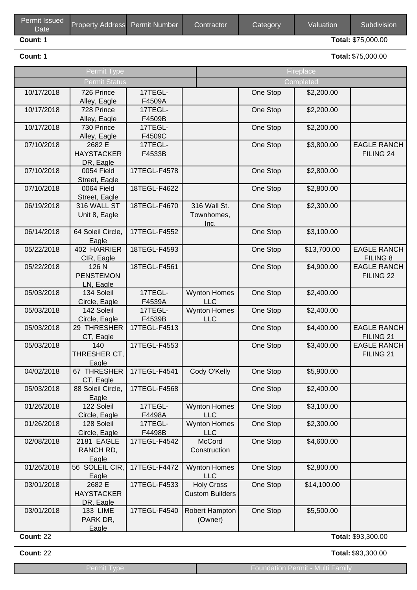| <b>Permit Issued</b><br>Date <sup>1</sup> | Property Address Permit Number | Contractor | Category | <b>Valuation</b> | Subdivision               |
|-------------------------------------------|--------------------------------|------------|----------|------------------|---------------------------|
| Count: 1                                  |                                |            |          |                  | <b>Total: \$75,000.00</b> |

**Count:**1 **Total:**\$75,000.00

|                  | Permit Type                              |                   |                                             | Fireplace |             |                                            |  |
|------------------|------------------------------------------|-------------------|---------------------------------------------|-----------|-------------|--------------------------------------------|--|
|                  | Permit Status                            |                   |                                             |           | Completed   |                                            |  |
| 10/17/2018       | 726 Prince<br>Alley, Eagle               | 17TEGL-<br>F4509A |                                             | One Stop  | \$2,200.00  |                                            |  |
| 10/17/2018       | 728 Prince<br>Alley, Eagle               | 17TEGL-<br>F4509B |                                             | One Stop  | \$2,200.00  |                                            |  |
| 10/17/2018       | 730 Prince<br>Alley, Eagle               | 17TEGL-<br>F4509C |                                             | One Stop  | \$2,200.00  |                                            |  |
| 07/10/2018       | 2682 E<br><b>HAYSTACKER</b><br>DR, Eagle | 17TEGL-<br>F4533B |                                             | One Stop  | \$3,800.00  | <b>EAGLE RANCH</b><br>FILING 24            |  |
| 07/10/2018       | 0054 Field<br>Street, Eagle              | 17TEGL-F4578      |                                             | One Stop  | \$2,800.00  |                                            |  |
| 07/10/2018       | 0064 Field<br>Street, Eagle              | 18TEGL-F4622      |                                             | One Stop  | \$2,800.00  |                                            |  |
| 06/19/2018       | 316 WALL ST<br>Unit 8, Eagle             | 18TEGL-F4670      | 316 Wall St.<br>Townhomes,<br>Inc.          | One Stop  | \$2,300.00  |                                            |  |
| 06/14/2018       | 64 Soleil Circle,<br>Eagle               | 17TEGL-F4552      |                                             | One Stop  | \$3,100.00  |                                            |  |
| 05/22/2018       | 402 HARRIER<br>CIR, Eagle                | 18TEGL-F4593      |                                             | One Stop  | \$13,700.00 | <b>EAGLE RANCH</b><br>FILING 8             |  |
| 05/22/2018       | 126 N<br><b>PENSTEMON</b><br>LN, Eagle   | 18TEGL-F4561      |                                             | One Stop  | \$4,900.00  | <b>EAGLE RANCH</b><br>FILING <sub>22</sub> |  |
| 05/03/2018       | 134 Soleil<br>Circle, Eagle              | 17TEGL-<br>F4539A | <b>Wynton Homes</b><br><b>LLC</b>           | One Stop  | \$2,400.00  |                                            |  |
| 05/03/2018       | 142 Soleil<br>Circle, Eagle              | 17TEGL-<br>F4539B | <b>Wynton Homes</b><br><b>LLC</b>           | One Stop  | \$2,400.00  |                                            |  |
| 05/03/2018       | 29 THRESHER<br>CT, Eagle                 | 17TEGL-F4513      |                                             | One Stop  | \$4,400.00  | <b>EAGLE RANCH</b><br>FILING 21            |  |
| 05/03/2018       | 140<br>THRESHER CT,<br>Eagle             | 17TEGL-F4553      |                                             | One Stop  | \$3,400.00  | <b>EAGLE RANCH</b><br>FILING <sub>21</sub> |  |
| 04/02/2018       | 67 THRESHER<br>CT, Eagle                 | 17TEGL-F4541      | Cody O'Kelly                                | One Stop  | \$5,900.00  |                                            |  |
| 05/03/2018       | 88 Soleil Circle,<br>Eagle               | 17TEGL-F4568      |                                             | One Stop  | \$2,400.00  |                                            |  |
| 01/26/2018       | 122 Soleil<br>Circle, Eagle              | 17TEGL-<br>F4498A | <b>Wynton Homes</b><br><b>LLC</b>           | One Stop  | \$3,100.00  |                                            |  |
| 01/26/2018       | 128 Soleil<br>Circle, Eagle              | 17TEGL-<br>F4498B | <b>Wynton Homes</b><br><b>LLC</b>           | One Stop  | \$2,300.00  |                                            |  |
| 02/08/2018       | 2181 EAGLE<br>RANCH RD,<br>Eagle         | 17TEGL-F4542      | McCord<br>Construction                      | One Stop  | \$4,600.00  |                                            |  |
| 01/26/2018       | 56 SOLEIL CIR,<br>Eagle                  | 17TEGL-F4472      | <b>Wynton Homes</b><br><b>LLC</b>           | One Stop  | \$2,800.00  |                                            |  |
| 03/01/2018       | 2682 E<br><b>HAYSTACKER</b><br>DR, Eagle | 17TEGL-F4533      | <b>Holy Cross</b><br><b>Custom Builders</b> | One Stop  | \$14,100.00 |                                            |  |
| 03/01/2018       | <b>133 LIME</b><br>PARK DR,<br>Eagle     | 17TEGL-F4540      | Robert Hampton<br>(Owner)                   | One Stop  | \$5,500.00  |                                            |  |
| <b>Count: 22</b> |                                          |                   |                                             |           |             | Total: \$93,300.00                         |  |

**Count:**22 **Total:**\$93,300.00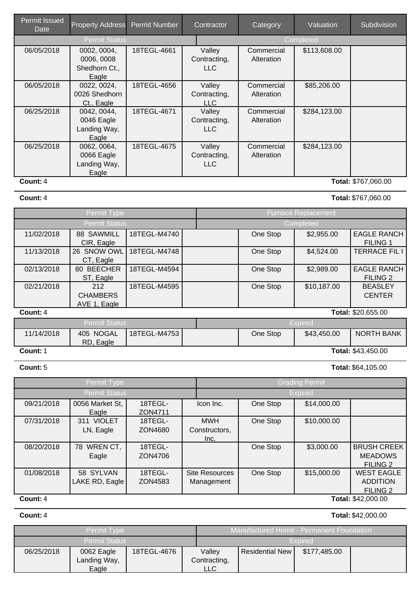| Permit Issued<br><b>Date</b> | <b>Property Address</b> | <b>Permit Number</b> | Contractor   | Category   | Valuation    | Subdivision         |
|------------------------------|-------------------------|----------------------|--------------|------------|--------------|---------------------|
|                              | <b>Permit Status</b>    |                      |              |            | Completed    |                     |
| 06/05/2018                   | 0002, 0004,             | 18TEGL-4661          | Valley       | Commercial | \$113,608.00 |                     |
|                              | 0006, 0008              |                      | Contracting, | Alteration |              |                     |
|                              | Shedhorn Ct.,           |                      | <b>LLC</b>   |            |              |                     |
|                              | Eagle                   |                      |              |            |              |                     |
| 06/05/2018                   | 0022, 0024,             | 18TEGL-4656          | Valley       | Commercial | \$85,206.00  |                     |
|                              | 0026 Shedhorn           |                      | Contracting, | Alteration |              |                     |
|                              | Ct., Eagle              |                      | LLC.         |            |              |                     |
| 06/25/2018                   | 0042, 0044,             | 18TEGL-4671          | Valley       | Commercial | \$284,123.00 |                     |
|                              | 0046 Eagle              |                      | Contracting, | Alteration |              |                     |
|                              | Landing Way,            |                      | LLC.         |            |              |                     |
|                              | Eagle                   |                      |              |            |              |                     |
| 06/25/2018                   | 0062, 0064,             | 18TEGL-4675          | Valley       | Commercial | \$284,123.00 |                     |
|                              | 0066 Eagle              |                      | Contracting, | Alteration |              |                     |
|                              | Landing Way,            |                      | <b>LLC</b>   |            |              |                     |
|                              | Eagle                   |                      |              |            |              |                     |
| Count: 4                     |                         |                      |              |            |              | Total: \$767,060.00 |

| <b>Count: 4</b> | Total: \$767,060.00 |
|-----------------|---------------------|
|-----------------|---------------------|

|                      | Permit Type                            |              | <b>Furnace Replacement</b> |                |                                       |  |
|----------------------|----------------------------------------|--------------|----------------------------|----------------|---------------------------------------|--|
| <b>Permit Status</b> |                                        |              | Completed                  |                |                                       |  |
| 11/02/2018           | 88 SAWMILL<br>CIR, Eagle               | 18TEGL-M4740 | One Stop                   | \$2,955.00     | <b>EAGLE RANCH</b><br><b>FILING 1</b> |  |
| 11/13/2018           | <b>SNOW OWL</b><br>26<br>CT, Eagle     | 18TEGL-M4748 | One Stop                   | \$4,524.00     | <b>TERRACE FIL I</b>                  |  |
| 02/13/2018           | 80 BEECHER<br>ST, Eagle                | 18TEGL-M4594 | One Stop                   | \$2,989.00     | <b>EAGLE RANCH</b><br><b>FILING 2</b> |  |
| 02/21/2018           | 212<br><b>CHAMBERS</b><br>AVE 1, Eagle | 18TEGL-M4595 | One Stop                   | \$10,187.00    | <b>BEASLEY</b><br><b>CENTER</b>       |  |
| Count: 4             |                                        |              |                            |                | Total: \$20,655.00                    |  |
|                      | <b>Permit Status</b>                   |              |                            | <b>Expired</b> |                                       |  |
| 11/14/2018           | 405 NOGAL<br>RD, Eagle                 | 18TEGL-M4753 | One Stop                   | \$43,450.00    | <b>NORTH BANK</b>                     |  |
| Count: 1             |                                        |              |                            |                | Total: \$43,450.00                    |  |

**Count:**5 **Total:**\$64,105.00

|                                | Permit Type                       |                    |                                     |          | <b>Grading Permit</b> |                                                         |  |  |
|--------------------------------|-----------------------------------|--------------------|-------------------------------------|----------|-----------------------|---------------------------------------------------------|--|--|
|                                | Permit Status                     |                    |                                     |          | <b>Expired</b>        |                                                         |  |  |
| 09/21/2018                     | 0056 Market St,<br>Eagle          | 18TEGL-<br>ZON4711 | Icon Inc.                           | One Stop | \$14,000.00           |                                                         |  |  |
| 07/31/2018                     | <b>VIOLET</b><br>311<br>LN, Eagle | 18TEGL-<br>ZON4680 | <b>MWH</b><br>Constructors,<br>Inc. | One Stop | \$10,000.00           |                                                         |  |  |
| 08/20/2018                     | WREN CT,<br>78<br>Eagle           | 18TEGL-<br>ZON4706 |                                     | One Stop | \$3,000.00            | <b>BRUSH CREEK</b><br><b>MEADOWS</b><br><b>FILING 2</b> |  |  |
| 01/08/2018                     | 58 SYLVAN<br>LAKE RD, Eagle       | 18TEGL-<br>ZON4583 | <b>Site Resources</b><br>Management | One Stop | \$15,000.00           | <b>WEST EAGLE</b><br><b>ADDITION</b><br><b>FILING 2</b> |  |  |
| Total: \$42,000.00<br>Count: 4 |                                   |                    |                                     |          |                       |                                                         |  |  |

**Count:**4 **Total:**\$42,000.00

|                      | <b>Permit Type</b>                  |             |                                      | ' Manufactured Home - Permanent Foundation . |              |  |
|----------------------|-------------------------------------|-------------|--------------------------------------|----------------------------------------------|--------------|--|
| <b>Permit Status</b> |                                     |             |                                      | Expired                                      |              |  |
| 06/25/2018           | 0062 Eagle<br>Landing Way,<br>Eagle | 18TEGL-4676 | Valley<br>Contracting,<br><b>LLC</b> | <b>Residential New</b>                       | \$177,485.00 |  |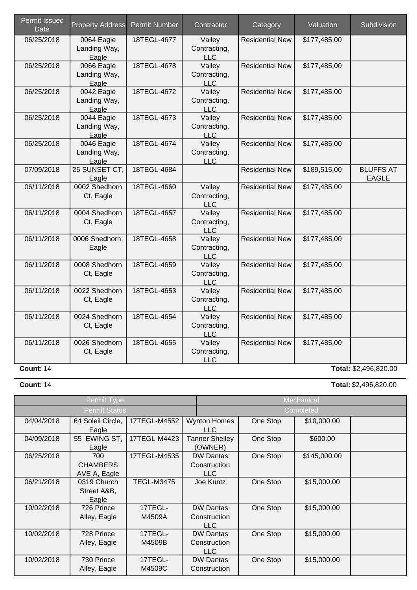| <b>Permit Issued</b><br>Date | <b>Property Address</b>             | <b>Permit Number</b> | Contractor                           | Category               | Valuation    | Subdivision                      |
|------------------------------|-------------------------------------|----------------------|--------------------------------------|------------------------|--------------|----------------------------------|
| 06/25/2018                   | 0064 Eagle<br>Landing Way,<br>Eagle | 18TEGL-4677          | Valley<br>Contracting,<br><b>LLC</b> | <b>Residential New</b> | \$177,485.00 |                                  |
| 06/25/2018                   | 0066 Eagle<br>Landing Way,<br>Eagle | 18TEGL-4678          | Valley<br>Contracting,<br><b>LLC</b> | <b>Residential New</b> | \$177,485.00 |                                  |
| 06/25/2018                   | 0042 Eagle<br>Landing Way,<br>Eagle | 18TEGL-4672          | Valley<br>Contracting,<br><b>LLC</b> | <b>Residential New</b> | \$177,485.00 |                                  |
| 06/25/2018                   | 0044 Eagle<br>Landing Way,<br>Eagle | 18TEGL-4673          | Valley<br>Contracting,<br><b>LLC</b> | <b>Residential New</b> | \$177,485.00 |                                  |
| 06/25/2018                   | 0046 Eagle<br>Landing Way,<br>Eagle | 18TEGL-4674          | Valley<br>Contracting,<br><b>LLC</b> | <b>Residential New</b> | \$177,485.00 |                                  |
| 07/09/2018                   | 26 SUNSET CT,<br>Eagle              | 18TEGL-4684          |                                      | <b>Residential New</b> | \$189,515.00 | <b>BLUFFS AT</b><br><b>EAGLE</b> |
| 06/11/2018                   | 0002 Shedhorn<br>Ct, Eagle          | 18TEGL-4660          | Valley<br>Contracting,<br><b>LLC</b> | <b>Residential New</b> | \$177,485.00 |                                  |
| 06/11/2018                   | 0004 Shedhorn<br>Ct, Eagle          | 18TEGL-4657          | Valley<br>Contracting,<br><b>LLC</b> | <b>Residential New</b> | \$177,485.00 |                                  |
| 06/11/2018                   | 0006 Shedhorn,<br>Eagle             | 18TEGL-4658          | Valley<br>Contracting,<br><b>LLC</b> | <b>Residential New</b> | \$177,485.00 |                                  |
| 06/11/2018                   | 0008 Shedhorn<br>Ct, Eagle          | 18TEGL-4659          | Valley<br>Contracting,<br><b>LLC</b> | <b>Residential New</b> | \$177,485.00 |                                  |
| 06/11/2018                   | 0022 Shedhorn<br>Ct, Eagle          | 18TEGL-4653          | Valley<br>Contracting,<br><b>LLC</b> | <b>Residential New</b> | \$177,485.00 |                                  |
| 06/11/2018                   | 0024 Shedhorn<br>Ct, Eagle          | 18TEGL-4654          | Valley<br>Contracting,<br><b>LLC</b> | <b>Residential New</b> | \$177,485.00 |                                  |
| 06/11/2018                   | 0026 Shedhorn<br>Ct, Eagle          | 18TEGL-4655          | Valley<br>Contracting,<br>LLC        | <b>Residential New</b> | \$177,485.00 |                                  |
| <b>Count: 14</b>             |                                     |                      |                                      |                        |              | Total: \$2,496,820.00            |

**Count:**14 **Total:**\$2,496,820.00

|            | Permit Type                            |                   |                                                | Mechanical |              |  |
|------------|----------------------------------------|-------------------|------------------------------------------------|------------|--------------|--|
|            | <b>Permit Status</b>                   |                   |                                                | Completed  |              |  |
| 04/04/2018 | 64 Soleil Circle,<br>Eagle             | 17TEGL-M4552      | <b>Wynton Homes</b><br>LLC                     | One Stop   | \$10,000.00  |  |
| 04/09/2018 | 55 EWING ST,<br>Eagle                  | 17TEGL-M4423      | <b>Tanner Shelley</b><br>(OWNER)               | One Stop   | \$600.00     |  |
| 06/25/2018 | 700<br><b>CHAMBERS</b><br>AVE A, Eagle | 17TEGL-M4535      | <b>DW Dantas</b><br>Construction<br><b>LLC</b> | One Stop   | \$145,000.00 |  |
| 06/21/2018 | 0319 Church<br>Street A&B,<br>Eagle    | <b>TEGL-M3475</b> | Joe Kuntz                                      | One Stop   | \$15,000.00  |  |
| 10/02/2018 | 726 Prince<br>Alley, Eagle             | 17TEGL-<br>M4509A | <b>DW Dantas</b><br>Construction<br>LLC        | One Stop   | \$15,000.00  |  |
| 10/02/2018 | 728 Prince<br>Alley, Eagle             | 17TEGL-<br>M4509B | <b>DW Dantas</b><br>Construction<br>LLC        | One Stop   | \$15,000.00  |  |
| 10/02/2018 | 730 Prince<br>Alley, Eagle             | 17TEGL-<br>M4509C | <b>DW Dantas</b><br>Construction               | One Stop   | \$15,000.00  |  |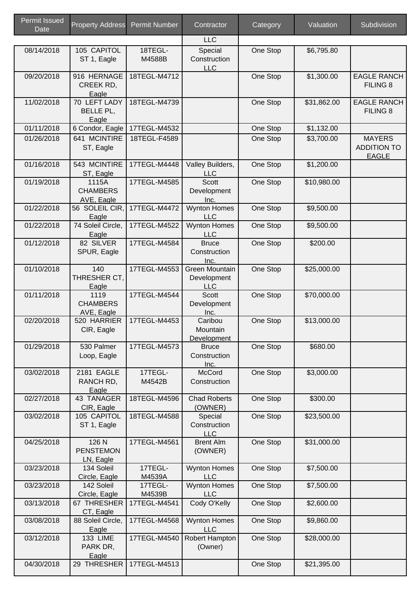| <b>Permit Issued</b><br>Date | <b>Property Address</b>                | <b>Permit Number</b> | Contractor                                         | Category | Valuation   | Subdivision                                         |
|------------------------------|----------------------------------------|----------------------|----------------------------------------------------|----------|-------------|-----------------------------------------------------|
|                              |                                        |                      | <b>LLC</b>                                         |          |             |                                                     |
| 08/14/2018                   | 105 CAPITOL<br>ST 1, Eagle             | 18TEGL-<br>M4588B    | Special<br>Construction<br><b>LLC</b>              | One Stop | \$6,795.80  |                                                     |
| 09/20/2018                   | 916 HERNAGE<br>CREEK RD,<br>Eagle      | 18TEGL-M4712         |                                                    | One Stop | \$1,300.00  | <b>EAGLE RANCH</b><br><b>FILING 8</b>               |
| 11/02/2018                   | 70 LEFT LADY<br>BELLE PL,<br>Eagle     | 18TEGL-M4739         |                                                    | One Stop | \$31,862.00 | <b>EAGLE RANCH</b><br>FILING <sub>8</sub>           |
| 01/11/2018                   | 6 Condor, Eagle                        | 17TEGL-M4532         |                                                    | One Stop | \$1,132.00  |                                                     |
| 01/26/2018                   | 641 MCINTIRE<br>ST, Eagle              | 18TEGL-F4589         |                                                    | One Stop | \$3,700.00  | <b>MAYERS</b><br><b>ADDITION TO</b><br><b>EAGLE</b> |
| 01/16/2018                   | 543 MCINTIRE<br>ST, Eagle              | 17TEGL-M4448         | Valley Builders,<br><b>LLC</b>                     | One Stop | \$1,200.00  |                                                     |
| 01/19/2018                   | 1115A<br><b>CHAMBERS</b><br>AVE, Eagle | 17TEGL-M4585         | Scott<br>Development<br>Inc.                       | One Stop | \$10,980.00 |                                                     |
| 01/22/2018                   | 56 SOLEIL CIR,<br>Eagle                | 17TEGL-M4472         | <b>Wynton Homes</b><br><b>LLC</b>                  | One Stop | \$9,500.00  |                                                     |
| 01/22/2018                   | 74 Soleil Circle,<br>Eagle             | 17TEGL-M4522         | <b>Wynton Homes</b><br><b>LLC</b>                  | One Stop | \$9,500.00  |                                                     |
| 01/12/2018                   | 82 SILVER<br>SPUR, Eagle               | 17TEGL-M4584         | <b>Bruce</b><br>Construction<br>Inc.               | One Stop | \$200.00    |                                                     |
| 01/10/2018                   | 140<br>THRESHER CT,<br>Eagle           | 17TEGL-M4553         | <b>Green Mountain</b><br>Development<br><b>LLC</b> | One Stop | \$25,000.00 |                                                     |
| 01/11/2018                   | 1119<br><b>CHAMBERS</b><br>AVE, Eagle  | 17TEGL-M4544         | <b>Scott</b><br>Development<br>Inc.                | One Stop | \$70,000.00 |                                                     |
| 02/20/2018                   | 520 HARRIER<br>CIR, Eagle              | 17TEGL-M4453         | Caribou<br>Mountain<br>Development                 | One Stop | \$13,000.00 |                                                     |
| 01/29/2018                   | 530 Palmer<br>Loop, Eagle              | 17TEGL-M4573         | <b>Bruce</b><br>Construction<br>Inc.               | One Stop | \$680.00    |                                                     |
| 03/02/2018                   | 2181 EAGLE<br>RANCH RD,<br>Eagle       | 17TEGL-<br>M4542B    | <b>McCord</b><br>Construction                      | One Stop | \$3,000.00  |                                                     |
| 02/27/2018                   | 43 TANAGER<br>CIR, Eagle               | 18TEGL-M4596         | <b>Chad Roberts</b><br>(OWNER)                     | One Stop | \$300.00    |                                                     |
| 03/02/2018                   | 105 CAPITOL<br>ST 1, Eagle             | 18TEGL-M4588         | Special<br>Construction<br><b>LLC</b>              | One Stop | \$23,500.00 |                                                     |
| 04/25/2018                   | 126 N<br><b>PENSTEMON</b><br>LN, Eagle | 17TEGL-M4561         | <b>Brent Alm</b><br>(OWNER)                        | One Stop | \$31,000.00 |                                                     |
| 03/23/2018                   | 134 Soleil<br>Circle, Eagle            | 17TEGL-<br>M4539A    | <b>Wynton Homes</b><br><b>LLC</b>                  | One Stop | \$7,500.00  |                                                     |
| 03/23/2018                   | 142 Soleil<br>Circle, Eagle            | 17TEGL-<br>M4539B    | <b>Wynton Homes</b><br><b>LLC</b>                  | One Stop | \$7,500.00  |                                                     |
| 03/13/2018                   | 67 THRESHER<br>CT, Eagle               | 17TEGL-M4541         | Cody O'Kelly                                       | One Stop | \$2,600.00  |                                                     |
| 03/08/2018                   | 88 Soleil Circle,<br>Eagle             | 17TEGL-M4568         | <b>Wynton Homes</b><br><b>LLC</b>                  | One Stop | \$9,860.00  |                                                     |
| 03/12/2018                   | <b>133 LIME</b><br>PARK DR,<br>Eagle   | 17TEGL-M4540         | Robert Hampton<br>(Owner)                          | One Stop | \$28,000.00 |                                                     |
| 04/30/2018                   | 29 THRESHER                            | 17TEGL-M4513         |                                                    | One Stop | \$21,395.00 |                                                     |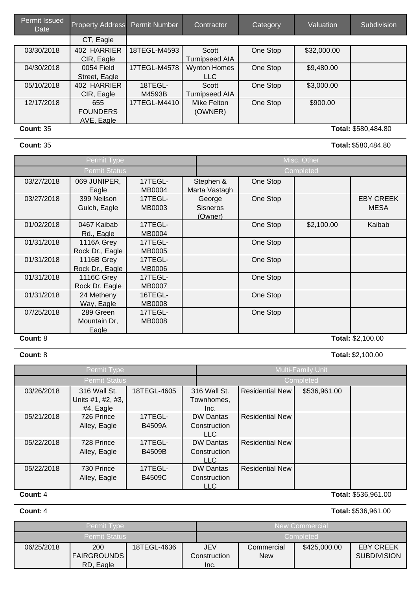| <b>Permit Issued</b><br>Date | <b>Property Address</b> | Permit Number | Contractor            | Category | Valuation   | Subdivision         |
|------------------------------|-------------------------|---------------|-----------------------|----------|-------------|---------------------|
|                              | CT, Eagle               |               |                       |          |             |                     |
| 03/30/2018                   | <b>HARRIER</b><br>402   | 18TEGL-M4593  | Scott                 | One Stop | \$32,000.00 |                     |
|                              | CIR, Eagle              |               | <b>Turnipseed AIA</b> |          |             |                     |
| 04/30/2018                   | 0054 Field              | 17TEGL-M4578  | <b>Wynton Homes</b>   | One Stop | \$9,480.00  |                     |
|                              | Street, Eagle           |               | <b>LLC</b>            |          |             |                     |
| 05/10/2018                   | 402 HARRIER             | 18TEGL-       | Scott                 | One Stop | \$3,000.00  |                     |
|                              | CIR, Eagle              | M4593B        | <b>Turnipseed AIA</b> |          |             |                     |
| 12/17/2018                   | 655                     | 17TEGL-M4410  | Mike Felton           | One Stop | \$900.00    |                     |
|                              | <b>FOUNDERS</b>         |               | (OWNER)               |          |             |                     |
|                              | AVE, Eagle              |               |                       |          |             |                     |
| <b>Count: 35</b>             |                         |               |                       |          |             | Total: \$580,484.80 |

## **Count:**35 **Total:**\$580,484.80

|            | Permit Type     |               |                 | Misc. Other |            |                   |  |
|------------|-----------------|---------------|-----------------|-------------|------------|-------------------|--|
|            | Permit Status   |               |                 | Completed   |            |                   |  |
| 03/27/2018 | 069 JUNIPER,    | 17TEGL-       | Stephen &       | One Stop    |            |                   |  |
|            | Eagle           | <b>MB0004</b> | Marta Vastagh   |             |            |                   |  |
| 03/27/2018 | 399 Neilson     | 17TEGL-       | George          | One Stop    |            | <b>EBY CREEK</b>  |  |
|            | Gulch, Eagle    | MB0003        | <b>Sisneros</b> |             |            | <b>MESA</b>       |  |
|            |                 |               | (Owner)         |             |            |                   |  |
| 01/02/2018 | 0467 Kaibab     | 17TEGL-       |                 | One Stop    | \$2,100.00 | Kaibab            |  |
|            | Rd., Eagle      | <b>MB0004</b> |                 |             |            |                   |  |
| 01/31/2018 | 1116A Grey      | 17TEGL-       |                 | One Stop    |            |                   |  |
|            | Rock Dr., Eagle | <b>MB0005</b> |                 |             |            |                   |  |
| 01/31/2018 | 1116B Grey      | 17TEGL-       |                 | One Stop    |            |                   |  |
|            | Rock Dr., Eagle | <b>MB0006</b> |                 |             |            |                   |  |
| 01/31/2018 | 1116C Grey      | 17TEGL-       |                 | One Stop    |            |                   |  |
|            | Rock Dr, Eagle  | <b>MB0007</b> |                 |             |            |                   |  |
| 01/31/2018 | 24 Metheny      | 16TEGL-       |                 | One Stop    |            |                   |  |
|            | Way, Eagle      | <b>MB0008</b> |                 |             |            |                   |  |
| 07/25/2018 | 289 Green       | 17TEGL-       |                 | One Stop    |            |                   |  |
|            | Mountain Dr,    | <b>MB0008</b> |                 |             |            |                   |  |
|            | Eagle           |               |                 |             |            |                   |  |
| Count: 8   |                 |               |                 |             |            | Total: \$2,100.00 |  |

**Count:**8 **Total:**\$2,100.00

|            | Permit Type          |               |                  |                        | Multi-Family Unit |                     |  |
|------------|----------------------|---------------|------------------|------------------------|-------------------|---------------------|--|
|            | <b>Permit Status</b> |               |                  | Completed              |                   |                     |  |
| 03/26/2018 | 316 Wall St.         | 18TEGL-4605   | 316 Wall St.     | <b>Residential New</b> | \$536,961.00      |                     |  |
|            | Units #1, #2, #3,    |               | Townhomes.       |                        |                   |                     |  |
|            | #4, Eagle            |               | Inc.             |                        |                   |                     |  |
| 05/21/2018 | 726 Prince           | 17TEGL-       | <b>DW Dantas</b> | <b>Residential New</b> |                   |                     |  |
|            | Alley, Eagle         | <b>B4509A</b> | Construction     |                        |                   |                     |  |
|            |                      |               | LLC              |                        |                   |                     |  |
| 05/22/2018 | 728 Prince           | 17TEGL-       | <b>DW Dantas</b> | <b>Residential New</b> |                   |                     |  |
|            | Alley, Eagle         | <b>B4509B</b> | Construction     |                        |                   |                     |  |
|            |                      |               | LLC              |                        |                   |                     |  |
| 05/22/2018 | 730 Prince           | 17TEGL-       | <b>DW Dantas</b> | <b>Residential New</b> |                   |                     |  |
|            | Alley, Eagle         | <b>B4509C</b> | Construction     |                        |                   |                     |  |
|            |                      |               | LLC              |                        |                   |                     |  |
| Count: 4   |                      |               |                  |                        |                   | Total: \$536,961.00 |  |

# **Count:**4 **Total:**\$536,961.00

|            | <b>Permit Type</b>                            |             |                             |                                                                                    | New Commercial |  |  |
|------------|-----------------------------------------------|-------------|-----------------------------|------------------------------------------------------------------------------------|----------------|--|--|
|            | <b>Permit Status</b>                          |             |                             | Completed                                                                          |                |  |  |
| 06/25/2018 | <b>200</b><br><b>FAIRGROUNDS</b><br>RD, Eagle | 18TEGL-4636 | JEV<br>Construction<br>Inc. | <b>EBY CREEK</b><br>\$425,000.00<br>Commercial<br><b>SUBDIVISION</b><br><b>New</b> |                |  |  |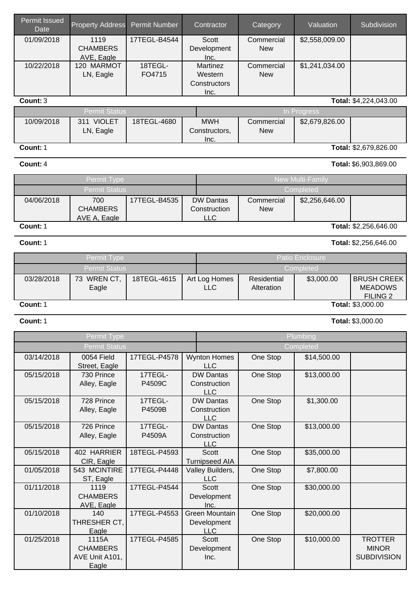| Permit issued<br>Date | <b>Property Address</b>           | <b>Permit Number</b> | Contractor                     | Category                 | Valuation               | Subdivision                        |
|-----------------------|-----------------------------------|----------------------|--------------------------------|--------------------------|-------------------------|------------------------------------|
| 01/09/2018            | 1119                              | 17TEGL-B4544         | Scott                          | Commercial               | \$2,558,009.00          |                                    |
|                       | <b>CHAMBERS</b>                   |                      | Development                    | <b>New</b>               |                         |                                    |
|                       | AVE, Eagle                        |                      | Inc.                           |                          |                         |                                    |
| 10/22/2018            | 120 MARMOT                        | 18TEGL-<br>FO4715    | Martinez<br>Western            | Commercial<br><b>New</b> | \$1,241,034.00          |                                    |
|                       | LN, Eagle                         |                      | Constructors                   |                          |                         |                                    |
|                       |                                   |                      | Inc.                           |                          |                         |                                    |
| Count: 3              |                                   |                      |                                |                          |                         | Total: \$4,224,043.00              |
|                       | <b>Permit Status</b>              |                      |                                |                          | In Progress             |                                    |
| 10/09/2018            | 311 VIOLET                        | 18TEGL-4680          | <b>MWH</b>                     | Commercial               | \$2,679,826.00          |                                    |
|                       | LN, Eagle                         |                      | Constructors,<br>Inc.          | <b>New</b>               |                         |                                    |
| Count: 1              |                                   |                      |                                |                          |                         | Total: \$2,679,826.00              |
| Count: 4              |                                   |                      |                                |                          |                         | Total: \$6,903,869.00              |
|                       |                                   |                      |                                |                          |                         |                                    |
|                       | Permit Type                       |                      |                                |                          | <b>New Multi-Family</b> |                                    |
|                       | <b>Permit Status</b>              |                      |                                |                          | Completed               |                                    |
| 04/06/2018            | 700                               | 17TEGL-B4535         | <b>DW Dantas</b>               | Commercial               | \$2,256,646.00          |                                    |
|                       | <b>CHAMBERS</b><br>AVE A, Eagle   |                      | Construction<br><b>LLC</b>     | <b>New</b>               |                         |                                    |
| Count: 1              |                                   |                      |                                |                          |                         | Total: \$2,256,646.00              |
| Count: 1              |                                   |                      |                                |                          |                         | Total: \$2,256,646.00              |
|                       | Permit Type                       |                      |                                |                          | Patio Enclosure         |                                    |
|                       | <b>Permit Status</b>              |                      |                                |                          | Completed               |                                    |
| 03/28/2018            | 73 WREN CT,                       | 18TEGL-4615          | Art Log Homes                  | Residential              | \$3,000.00              | <b>BRUSH CREEK</b>                 |
|                       | Eagle                             |                      | <b>LLC</b>                     | Alteration               |                         | <b>MEADOWS</b>                     |
|                       |                                   |                      |                                |                          |                         | <b>FILING 2</b>                    |
| Count: 1              |                                   |                      |                                |                          |                         | Total: \$3,000.00                  |
| Count: 1              |                                   |                      |                                |                          |                         | Total: \$3,000.00                  |
|                       | Permit Type                       |                      |                                |                          | Plumbing                |                                    |
|                       | <b>Permit Status</b>              |                      |                                |                          | Completed               |                                    |
| 03/14/2018            | 0054 Field                        | 17TEGL-P4578         | <b>Wynton Homes</b>            | One Stop                 | \$14,500.00             |                                    |
| 05/15/2018            | Street, Eagle<br>730 Prince       | 17TEGL-              | <b>LLC</b><br><b>DW Dantas</b> |                          |                         |                                    |
|                       | Alley, Eagle                      | P4509C               | Construction                   | One Stop                 | \$13,000.00             |                                    |
|                       |                                   |                      | <b>LLC</b>                     |                          |                         |                                    |
| 05/15/2018            | 728 Prince                        | 17TEGL-              | <b>DW Dantas</b>               | One Stop                 | \$1,300.00              |                                    |
|                       | Alley, Eagle                      | P4509B               | Construction                   |                          |                         |                                    |
| 05/15/2018            | 726 Prince                        | 17TEGL-              | <b>LLC</b><br><b>DW Dantas</b> | One Stop                 | \$13,000.00             |                                    |
|                       | Alley, Eagle                      | P4509A               | Construction                   |                          |                         |                                    |
|                       |                                   |                      | <b>LLC</b>                     |                          |                         |                                    |
| 05/15/2018            | 402 HARRIER                       | 18TEGL-P4593         | Scott                          | One Stop                 | \$35,000.00             |                                    |
|                       |                                   |                      |                                |                          |                         |                                    |
|                       | CIR, Eagle                        |                      | <b>Turnipseed AIA</b>          |                          |                         |                                    |
| 01/05/2018            | 543 MCINTIRE<br>ST, Eagle         | 17TEGL-P4448         | Valley Builders,<br><b>LLC</b> | One Stop                 | \$7,800.00              |                                    |
| 01/11/2018            | 1119                              | 17TEGL-P4544         | Scott                          | One Stop                 | \$30,000.00             |                                    |
|                       | <b>CHAMBERS</b>                   |                      | Development                    |                          |                         |                                    |
|                       | AVE, Eagle                        |                      | Inc.                           |                          |                         |                                    |
| 01/10/2018            | 140                               | 17TEGL-P4553         | <b>Green Mountain</b>          | One Stop                 | \$20,000.00             |                                    |
|                       | THRESHER CT,<br>Eagle             |                      | Development<br><b>LLC</b>      |                          |                         |                                    |
| 01/25/2018            | 1115A                             | 17TEGL-P4585         | Scott                          | One Stop                 | \$10,000.00             | <b>TROTTER</b>                     |
|                       | <b>CHAMBERS</b><br>AVE Unit A101, |                      | Development<br>Inc.            |                          |                         | <b>MINOR</b><br><b>SUBDIVISION</b> |

Permit Issued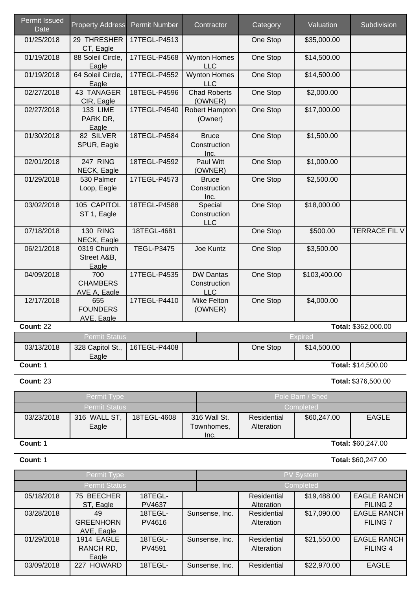| <b>Permit Issued</b><br><b>Date</b> | <b>Property Address</b>                       | <b>Permit Number</b> | Contractor                                     | Category | Valuation    | Subdivision         |
|-------------------------------------|-----------------------------------------------|----------------------|------------------------------------------------|----------|--------------|---------------------|
| 01/25/2018                          | 29 THRESHER<br>CT, Eagle                      | 17TEGL-P4513         |                                                | One Stop | \$35,000.00  |                     |
| 01/19/2018                          | 88 Soleil Circle,<br>Eagle                    | 17TEGL-P4568         | <b>Wynton Homes</b><br><b>LLC</b>              | One Stop | \$14,500.00  |                     |
| 01/19/2018                          | 64 Soleil Circle,<br>Eagle                    | 17TEGL-P4552         | <b>Wynton Homes</b><br><b>LLC</b>              | One Stop | \$14,500.00  |                     |
| 02/27/2018                          | 43 TANAGER<br>CIR, Eagle                      | 18TEGL-P4596         | <b>Chad Roberts</b><br>(OWNER)                 | One Stop | \$2,000.00   |                     |
| 02/27/2018                          | <b>133 LIME</b><br>PARK DR,<br>Eagle          | 17TEGL-P4540         | Robert Hampton<br>(Owner)                      | One Stop | \$17,000.00  |                     |
| 01/30/2018                          | 82 SILVER<br>SPUR, Eagle                      | 18TEGL-P4584         | <b>Bruce</b><br>Construction<br>Inc.           | One Stop | \$1,500.00   |                     |
| 02/01/2018                          | 247 RING<br>NECK, Eagle                       | 18TEGL-P4592         | Paul Witt<br>(OWNER)                           | One Stop | \$1,000.00   |                     |
| 01/29/2018                          | 530 Palmer<br>Loop, Eagle                     | 17TEGL-P4573         | <b>Bruce</b><br>Construction<br>Inc.           | One Stop | \$2,500.00   |                     |
| 03/02/2018                          | 105 CAPITOL<br>ST 1, Eagle                    | 18TEGL-P4588         | Special<br>Construction<br><b>LLC</b>          | One Stop | \$18,000.00  |                     |
| 07/18/2018                          | <b>130 RING</b><br>NECK, Eagle                | 18TEGL-4681          |                                                | One Stop | \$500.00     | TERRACE FIL V       |
| 06/21/2018                          | 0319 Church<br>Street A&B,<br>Eagle           | <b>TEGL-P3475</b>    | Joe Kuntz                                      | One Stop | \$3,500.00   |                     |
| 04/09/2018                          | 700<br><b>CHAMBERS</b><br><b>AVE A, Eagle</b> | 17TEGL-P4535         | <b>DW Dantas</b><br>Construction<br><b>LLC</b> | One Stop | \$103,400.00 |                     |
| 12/17/2018                          | 655<br><b>FOUNDERS</b><br>AVE, Eagle          | 17TEGL-P4410         | <b>Mike Felton</b><br>(OWNER)                  | One Stop | \$4,000.00   |                     |
| Count: 22                           |                                               |                      |                                                |          |              | Total: \$362,000.00 |

| <b>Count: 22</b> |  |
|------------------|--|
|------------------|--|

|            | <b>Permit Status</b> |                                 |          | Expired     |                           |
|------------|----------------------|---------------------------------|----------|-------------|---------------------------|
| 03/13/2018 | Eagle                | 328 Capitol St.,   16TEGL-P4408 | One Stop | \$14,500.00 |                           |
| Count: 1   |                      |                                 |          |             | <b>Total: \$14,500.00</b> |

**Count:**23 **Total:**\$376,500.00

### Permit Type **Pole Barn / Shed** Pole Barn / Shed Permit Status Completed 03/23/2018 316 WALL ST, Eagle 18TEGL-4608 | 316 Wall St. | Residential Alteration 316 Wall St. Townhomes, Inc. \$60,247.00 EAGLE

# **Count:**1 **Total:** \$60,247.00

### **Count:** 1 **Total:** \$60,247.00

Permit Type PV System Permit Status Completed 05/18/2018 75 BEECHER ST, Eagle 18TEGL-PV4637 **Residential** Alteration \$19,488.00 EAGLE RANCH FILING 2 03/28/2018 | 49 GREENHORN AVE, Eagle 18TEGL-PV4616 **Residential** Alteration Sunsense, Inc. | Residential | \$17,090.00 | EAGLE RANCH FILING 7 01/29/2018 | 1914 EAGLE RANCH RD, Eagle 18TEGL-PV4591 **Residential** Alteration Sunsense, Inc. | Residential | \$21,550.00 EAGLE RANCH FILING 4 03/09/2018 | 227 HOWARD | 18TEGL- | Sunsense, Inc. | Residential | \$22,970.00 | EAGLE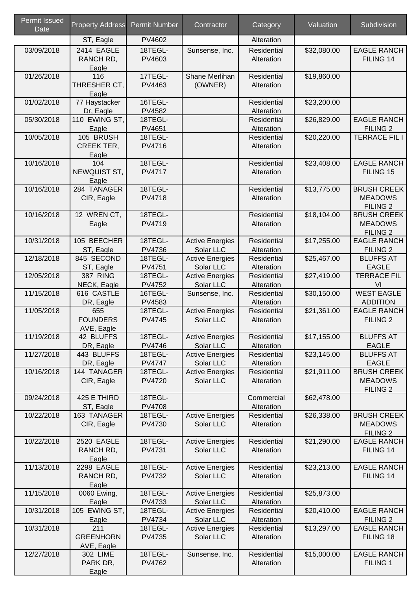| <b>Permit Issued</b><br><b>Date</b> | <b>Property Address</b>                 | <b>Permit Number</b>     | Contractor                          | Category                         | Valuation   | Subdivision                                                 |
|-------------------------------------|-----------------------------------------|--------------------------|-------------------------------------|----------------------------------|-------------|-------------------------------------------------------------|
|                                     | ST, Eagle                               | PV4602                   |                                     | Alteration                       |             |                                                             |
| 03/09/2018                          | 2414 EAGLE<br>RANCH RD,<br>Eagle        | 18TEGL-<br>PV4603        | Sunsense, Inc.                      | Residential<br>Alteration        | \$32,080.00 | <b>EAGLE RANCH</b><br>FILING 14                             |
| 01/26/2018                          | 116<br>THRESHER CT,<br>Eagle            | 17TEGL-<br>PV4463        | Shane Merlihan<br>(OWNER)           | Residential<br>Alteration        | \$19,860.00 |                                                             |
| 01/02/2018                          | 77 Haystacker<br>Dr, Eagle              | 16TEGL-<br><b>PV4582</b> |                                     | Residential<br>Alteration        | \$23,200.00 |                                                             |
| 05/30/2018                          | 110 EWING ST,<br>Eagle                  | 18TEGL-<br>PV4651        |                                     | Residential<br>Alteration        | \$26,829.00 | <b>EAGLE RANCH</b><br>FILING <sub>2</sub>                   |
| 10/05/2018                          | 105 BRUSH<br><b>CREEK TER,</b><br>Eagle | 18TEGL-<br>PV4716        |                                     | Residential<br>Alteration        | \$20,220.00 | <b>TERRACE FIL I</b>                                        |
| 10/16/2018                          | 104<br>NEWQUIST ST,<br>Eagle            | 18TEGL-<br><b>PV4717</b> |                                     | Residential<br>Alteration        | \$23,408.00 | <b>EAGLE RANCH</b><br>FILING 15                             |
| 10/16/2018                          | 284 TANAGER<br>CIR, Eagle               | 18TEGL-<br><b>PV4718</b> |                                     | Residential<br>Alteration        | \$13,775.00 | <b>BRUSH CREEK</b><br><b>MEADOWS</b><br>FILING <sub>2</sub> |
| 10/16/2018                          | 12 WREN CT,<br>Eagle                    | 18TEGL-<br>PV4719        |                                     | Residential<br>Alteration        | \$18,104.00 | <b>BRUSH CREEK</b><br><b>MEADOWS</b><br><b>FILING 2</b>     |
| 10/31/2018                          | 105 BEECHER<br>ST, Eagle                | 18TEGL-<br><b>PV4736</b> | <b>Active Energies</b><br>Solar LLC | Residential<br>Alteration        | \$17,255.00 | <b>EAGLE RANCH</b><br>FILING <sub>2</sub>                   |
| 12/18/2018                          | 845 SECOND<br>ST, Eagle                 | 18TEGL-<br>PV4751        | <b>Active Energies</b><br>Solar LLC | Residential<br>Alteration        | \$25,467.00 | <b>BLUFFS AT</b><br><b>EAGLE</b>                            |
| 12/05/2018                          | <b>387 RING</b><br>NECK, Eagle          | 18TEGL-<br><b>PV4752</b> | <b>Active Energies</b><br>Solar LLC | Residential<br>Alteration        | \$27,419.00 | <b>TERRACE FIL</b><br>VI                                    |
| 11/15/2018                          | 616 CASTLE<br>DR, Eagle                 | 16TEGL-<br>PV4583        | Sunsense, Inc.                      | Residential<br>Alteration        | \$30,150.00 | <b>WEST EAGLE</b><br><b>ADDITION</b>                        |
| 11/05/2018                          | 655<br><b>FOUNDERS</b><br>AVE, Eagle    | 18TEGL-<br><b>PV4745</b> | <b>Active Energies</b><br>Solar LLC | <b>Residential</b><br>Alteration | \$21,361.00 | <b>EAGLE RANCH</b><br>FILING <sub>2</sub>                   |
| 11/19/2018                          | 42 BLUFFS<br>DR, Eagle                  | 18TEGL-<br>PV4746        | <b>Active Energies</b><br>Solar LLC | Residential<br>Alteration        | \$17,155.00 | <b>BLUFFS AT</b><br><b>EAGLE</b>                            |
| 11/27/2018                          | 443 BLUFFS<br>DR, Eagle                 | 18TEGL-<br><b>PV4747</b> | <b>Active Energies</b><br>Solar LLC | Residential<br>Alteration        | \$23,145.00 | <b>BLUFFS AT</b><br><b>EAGLE</b>                            |
| 10/16/2018                          | 144 TANAGER<br>CIR, Eagle               | 18TEGL-<br><b>PV4720</b> | <b>Active Energies</b><br>Solar LLC | Residential<br>Alteration        | \$21,911.00 | <b>BRUSH CREEK</b><br><b>MEADOWS</b><br><b>FILING 2</b>     |
| 09/24/2018                          | 425 E THIRD<br>ST, Eagle                | 18TEGL-<br><b>PV4708</b> |                                     | Commercial<br>Alteration         | \$62,478.00 |                                                             |
| 10/22/2018                          | 163 TANAGER<br>CIR, Eagle               | 18TEGL-<br>PV4730        | <b>Active Energies</b><br>Solar LLC | Residential<br>Alteration        | \$26,338.00 | <b>BRUSH CREEK</b><br><b>MEADOWS</b><br>FILING <sub>2</sub> |
| 10/22/2018                          | 2520 EAGLE<br>RANCH RD,<br>Eagle        | 18TEGL-<br>PV4731        | <b>Active Energies</b><br>Solar LLC | Residential<br>Alteration        | \$21,290.00 | <b>EAGLE RANCH</b><br>FILING 14                             |
| 11/13/2018                          | 2298 EAGLE<br>RANCH RD,<br>Eagle        | 18TEGL-<br>PV4732        | <b>Active Energies</b><br>Solar LLC | Residential<br>Alteration        | \$23,213.00 | <b>EAGLE RANCH</b><br>FILING 14                             |
| 11/15/2018                          | 0060 Ewing,<br>Eagle                    | 18TEGL-<br>PV4733        | <b>Active Energies</b><br>Solar LLC | Residential<br>Alteration        | \$25,873.00 |                                                             |
| 10/31/2018                          | 105 EWING ST,<br>Eagle                  | 18TEGL-<br>PV4734        | <b>Active Energies</b><br>Solar LLC | Residential<br>Alteration        | \$20,410.00 | <b>EAGLE RANCH</b><br>FILING <sub>2</sub>                   |
| 10/31/2018                          | 211<br><b>GREENHORN</b><br>AVE, Eagle   | 18TEGL-<br><b>PV4735</b> | <b>Active Energies</b><br>Solar LLC | Residential<br>Alteration        | \$13,297.00 | <b>EAGLE RANCH</b><br>FILING 18                             |
| 12/27/2018                          | 302 LIME<br>PARK DR,<br>Eagle           | 18TEGL-<br><b>PV4762</b> | Sunsense, Inc.                      | Residential<br>Alteration        | \$15,000.00 | <b>EAGLE RANCH</b><br>FILING 1                              |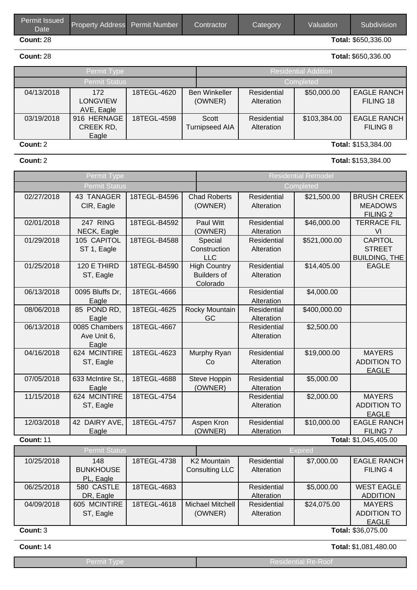| Permit Issued<br><b>Date</b> | <b>Property Address</b> Permit Number | Contractor | Category | Valuation | Subdivision <sup>1</sup>   |
|------------------------------|---------------------------------------|------------|----------|-----------|----------------------------|
| <b>Count: 28</b>             |                                       |            |          |           | <b>Total: \$650,336.00</b> |

**Count:**28 **Total:**\$650,336.00

|            | Permit Type                          |             |                                 | <b>Residential Addition</b> |              |                                 |  |  |
|------------|--------------------------------------|-------------|---------------------------------|-----------------------------|--------------|---------------------------------|--|--|
|            | <b>Permit Status</b>                 |             |                                 | Completed                   |              |                                 |  |  |
| 04/13/2018 | 172<br><b>LONGVIEW</b><br>AVE, Eagle | 18TEGL-4620 | <b>Ben Winkeller</b><br>(OWNER) | Residential<br>Alteration   | \$50,000.00  | <b>EAGLE RANCH</b><br>FILING 18 |  |  |
| 03/19/2018 | 916 HERNAGE<br>CREEK RD,<br>Eagle    | 18TEGL-4598 | Scott<br><b>Turnipseed AIA</b>  | Residential<br>Alteration   | \$103,384.00 | <b>EAGLE RANCH</b><br>FILING 8  |  |  |
| Count: 2   |                                      |             |                                 |                             |              | Total: \$153,384.00             |  |  |

**Count:**2 **Total:**\$153,384.00

|                  | Permit Type              |              |                                           | <b>Residential Remodel</b> |              |                                          |  |  |  |  |
|------------------|--------------------------|--------------|-------------------------------------------|----------------------------|--------------|------------------------------------------|--|--|--|--|
|                  | <b>Permit Status</b>     |              |                                           | Completed                  |              |                                          |  |  |  |  |
| 02/27/2018       | 43 TANAGER<br>CIR, Eagle | 18TEGL-B4596 | <b>Chad Roberts</b><br>(OWNER)            | Residential<br>Alteration  | \$21,500.00  | <b>BRUSH CREEK</b><br><b>MEADOWS</b>     |  |  |  |  |
|                  |                          |              |                                           |                            |              | FILING <sub>2</sub>                      |  |  |  |  |
| 02/01/2018       | 247 RING                 | 18TEGL-B4592 | <b>Paul Witt</b>                          | Residential                | \$46,000.00  | <b>TERRACE FIL</b>                       |  |  |  |  |
|                  | NECK, Eagle              |              | (OWNER)                                   | Alteration                 |              | VI                                       |  |  |  |  |
| 01/29/2018       | 105 CAPITOL              | 18TEGL-B4588 | Special                                   | Residential                | \$521,000.00 | <b>CAPITOL</b>                           |  |  |  |  |
|                  | ST 1, Eagle              |              | Construction                              | Alteration                 |              | <b>STREET</b>                            |  |  |  |  |
|                  |                          |              | <b>LLC</b>                                |                            |              | <b>BUILDING, THE</b>                     |  |  |  |  |
| 01/25/2018       | 120 E THIRD              | 18TEGL-B4590 | <b>High Country</b><br><b>Builders of</b> | Residential<br>Alteration  | \$14,405.00  | <b>EAGLE</b>                             |  |  |  |  |
|                  | ST, Eagle                |              | Colorado                                  |                            |              |                                          |  |  |  |  |
| 06/13/2018       | 0095 Bluffs Dr,          | 18TEGL-4666  |                                           | Residential                | \$4,000.00   |                                          |  |  |  |  |
|                  | Eagle                    |              |                                           | Alteration                 |              |                                          |  |  |  |  |
| 08/06/2018       | 85 POND RD,              | 18TEGL-4625  | Rocky Mountain                            | Residential                | \$400,000.00 |                                          |  |  |  |  |
|                  | Eagle                    |              | GC                                        | Alteration                 |              |                                          |  |  |  |  |
| 06/13/2018       | 0085 Chambers            | 18TEGL-4667  |                                           | Residential                | \$2,500.00   |                                          |  |  |  |  |
|                  | Ave Unit 6,              |              |                                           | Alteration                 |              |                                          |  |  |  |  |
| 04/16/2018       | Eagle<br>624 MCINTIRE    | 18TEGL-4623  |                                           | Residential                | \$19,000.00  | <b>MAYERS</b>                            |  |  |  |  |
|                  | ST, Eagle                |              | Murphy Ryan<br>Co                         | Alteration                 |              | <b>ADDITION TO</b>                       |  |  |  |  |
|                  |                          |              |                                           |                            |              | <b>EAGLE</b>                             |  |  |  |  |
| 07/05/2018       | 633 McIntire St.,        | 18TEGL-4688  | Steve Hoppin                              | Residential                | \$5,000.00   |                                          |  |  |  |  |
|                  | Eagle                    |              | (OWNER)                                   | Alteration                 |              |                                          |  |  |  |  |
| 11/15/2018       | 624 MCINTIRE             | 18TEGL-4754  |                                           | Residential                | \$2,000.00   | <b>MAYERS</b>                            |  |  |  |  |
|                  | ST, Eagle                |              |                                           | Alteration                 |              | <b>ADDITION TO</b>                       |  |  |  |  |
|                  |                          |              |                                           |                            |              | <b>EAGLE</b>                             |  |  |  |  |
| 12/03/2018       | 42 DAIRY AVE,            | 18TEGL-4757  | Aspen Kron                                | Residential                | \$10,000.00  | <b>EAGLE RANCH</b>                       |  |  |  |  |
| <b>Count: 11</b> | Eagle                    |              | (OWNER)                                   | Alteration                 |              | <b>FILING 7</b><br>Total: \$1,045,405.00 |  |  |  |  |
|                  | <b>Permit Status</b>     |              |                                           |                            | Expired      |                                          |  |  |  |  |
|                  |                          |              |                                           |                            |              |                                          |  |  |  |  |
| 10/25/2018       | 148<br><b>BUNKHOUSE</b>  | 18TEGL-4738  | K2 Mountain<br><b>Consulting LLC</b>      | Residential<br>Alteration  | \$7,000.00   | <b>EAGLE RANCH</b><br><b>FILING 4</b>    |  |  |  |  |
|                  | PL, Eagle                |              |                                           |                            |              |                                          |  |  |  |  |
| 06/25/2018       | 580 CASTLE               | 18TEGL-4683  |                                           | Residential                | \$5,000.00   | <b>WEST EAGLE</b>                        |  |  |  |  |
|                  | DR, Eagle                |              |                                           | Alteration                 |              | <b>ADDITION</b>                          |  |  |  |  |
| 04/09/2018       | 605 MCINTIRE             | 18TEGL-4618  | Michael Mitchell                          | Residential                | \$24,075.00  | <b>MAYERS</b>                            |  |  |  |  |

**Count:**3 **Total:** \$36,075.00

ST, Eagle

**Count:**14 **Total:**\$1,081,480.00

ADDITION TO EAGLE

\$24,075.00 MAYERS

|--|

(OWNER)

Alteration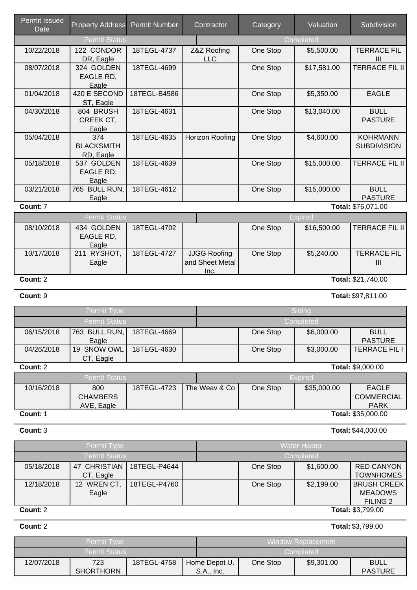| <b>Permit Issued</b><br>Date | <b>Property Address</b>               | <b>Permit Number</b> | Contractor         | Category       | Valuation   | Subdivision                           |  |  |
|------------------------------|---------------------------------------|----------------------|--------------------|----------------|-------------|---------------------------------------|--|--|
|                              | <b>Permit Status</b>                  |                      |                    |                | Completed   |                                       |  |  |
| 10/22/2018                   | 122 CONDOR<br>DR, Eagle               | 18TEGL-4737          | Z&Z Roofing<br>LLC | One Stop       | \$5,500.00  | <b>TERRACE FIL</b><br>Ш               |  |  |
| 08/07/2018                   | 324 GOLDEN<br>EAGLE RD,<br>Eagle      | 18TEGL-4699          |                    | One Stop       | \$17,581.00 | <b>TERRACE FIL II</b>                 |  |  |
| 01/04/2018                   | 420 E SECOND<br>ST, Eagle             | 18TEGL-B4586         |                    | One Stop       | \$5,350.00  | <b>EAGLE</b>                          |  |  |
| 04/30/2018                   | 804 BRUSH<br>CREEK CT,<br>Eagle       | 18TEGL-4631          |                    | One Stop       | \$13,040.00 | <b>BULL</b><br><b>PASTURE</b>         |  |  |
| 05/04/2018                   | 374<br><b>BLACKSMITH</b><br>RD, Eagle | 18TEGL-4635          | Horizon Roofing    | One Stop       | \$4,600.00  | <b>KOHRMANN</b><br><b>SUBDIVISION</b> |  |  |
| 05/18/2018                   | 537 GOLDEN<br>EAGLE RD,<br>Eagle      | 18TEGL-4639          |                    | One Stop       | \$15,000.00 | <b>TERRACE FIL II</b>                 |  |  |
| 03/21/2018                   | 765 BULL RUN,<br>Eagle                | 18TEGL-4612          |                    | One Stop       | \$15,000.00 | <b>BULL</b><br><b>PASTURE</b>         |  |  |
| Count: 7                     |                                       |                      |                    |                |             | Total: \$76,071.00                    |  |  |
|                              | <b>Permit Status</b>                  |                      |                    | <b>Expired</b> |             |                                       |  |  |
|                              |                                       |                      |                    |                |             |                                       |  |  |

| 08/10/2018 | 434 GOLDEN            | 18TEGL-4702 |                     | One Stop | \$16,500.00 | TERRACE FIL II     |
|------------|-----------------------|-------------|---------------------|----------|-------------|--------------------|
|            | EAGLE RD,             |             |                     |          |             |                    |
|            | Eagle                 |             |                     |          |             |                    |
| 10/17/2018 | <b>RYSHOT,</b><br>211 | 18TEGL-4727 | <b>JJGG Roofing</b> | One Stop | \$5,240.00  | <b>TERRACE FIL</b> |
|            | Eagle                 |             | and Sheet Metal     |          |             | Ш                  |
|            |                       |             | Inc.                |          |             |                    |

### **Count:**2 **Total:** \$21,740.00

**Count:**9 **Total:**\$97,811.00

| Permit Type          |               |             |  | Siding    |          |            |                     |  |
|----------------------|---------------|-------------|--|-----------|----------|------------|---------------------|--|
| <b>Permit Status</b> |               |             |  | Completed |          |            |                     |  |
| 06/15/2018           | 763 BULL RUN, | 18TEGL-4669 |  |           | One Stop | \$6,000.00 | <b>BULL</b>         |  |
|                      | Eagle         |             |  |           |          |            | <b>PASTURE</b>      |  |
| 04/26/2018           | 19 SNOW OWL   | 18TEGL-4630 |  |           | One Stop | \$3,000.00 | <b>TERRACE FILI</b> |  |
|                      | CT, Eagle     |             |  |           |          |            |                     |  |
| Count: 2             |               |             |  |           |          |            | Total: \$9,000.00   |  |

| <b>Permit Status</b> |                                      |             |               | Expired |          |             |                                           |
|----------------------|--------------------------------------|-------------|---------------|---------|----------|-------------|-------------------------------------------|
| 10/16/2018           | 800<br><b>CHAMBERS</b><br>AVE, Eagle | 18TEGL-4723 | The Weav & Co |         | One Stop | \$35,000.00 | EAGLE<br><b>COMMERCIAL</b><br><b>PARK</b> |
| Count: 1             |                                      |             |               |         |          |             | <b>Total: \$35,000.00</b>                 |

# **Count:**3 **Total:**\$44,000.00

|            | Permit Type          |              | <b>Water Heater</b> |            |                          |  |  |
|------------|----------------------|--------------|---------------------|------------|--------------------------|--|--|
|            | <b>Permit Status</b> |              | Completed           |            |                          |  |  |
| 05/18/2018 | 47 CHRISTIAN         | 18TEGL-P4644 | One Stop            | \$1,600.00 | <b>RED CANYON</b>        |  |  |
|            | CT, Eagle            |              |                     |            | <b>TOWNHOMES</b>         |  |  |
| 12/18/2018 | 12 WREN CT.          | 18TEGL-P4760 | One Stop            | \$2,199.00 | <b>BRUSH CREEK</b>       |  |  |
|            | Eagle                |              |                     |            | <b>MEADOWS</b>           |  |  |
|            |                      |              |                     |            | <b>FILING 2</b>          |  |  |
| Count: 2   |                      |              |                     |            | <b>Total: \$3,799.00</b> |  |  |

**Count:**2 **Total:**\$3,799.00

| <b>Permit Type</b>   |                         |             |                             | Window Replacement |          |            |                               |
|----------------------|-------------------------|-------------|-----------------------------|--------------------|----------|------------|-------------------------------|
| <b>Permit Status</b> |                         |             |                             | Completed          |          |            |                               |
| 12/07/2018           | 723<br><b>SHORTHORN</b> | 18TEGL-4758 | Home Depot U.<br>S.A., Inc. |                    | One Stop | \$9,301.00 | <b>BULL</b><br><b>PASTURE</b> |